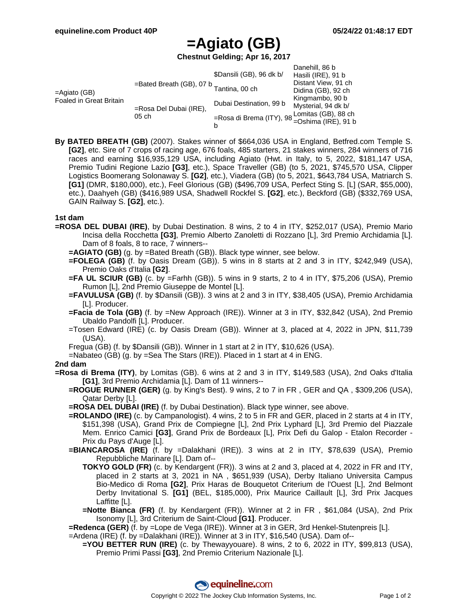# **=Agiato (GB)**

**Chestnut Gelding; Apr 16, 2017**

| $=$ Agiato (GB)<br><b>Foaled in Great Britain</b> |                                         | \$Dansili (GB), 96 dk b/                                                                       | Danehill, 86 b<br>Hasili (IRE), 91 b |
|---------------------------------------------------|-----------------------------------------|------------------------------------------------------------------------------------------------|--------------------------------------|
|                                                   | =Bated Breath (GB), 07 b Tantina, 00 ch |                                                                                                | Distant View, 91 ch                  |
|                                                   |                                         |                                                                                                | Didina (GB), 92 ch                   |
|                                                   | =Rosa Del Dubai (IRE),<br>$05$ ch       | Dubai Destination, 99 b                                                                        | Kingmambo, 90 b                      |
|                                                   |                                         |                                                                                                | Mysterial, 94 dk b/                  |
|                                                   |                                         | =Rosa di Brema (ITY), 98 Lomitas (GB), 88 ch<br>La el Brema (ITY), 98 =Oshima (IRE), 91 b<br>b |                                      |

**By BATED BREATH (GB)** (2007). Stakes winner of \$664,036 USA in England, Betfred.com Temple S. **[G2]**, etc. Sire of 7 crops of racing age, 676 foals, 485 starters, 21 stakes winners, 284 winners of 716 races and earning \$16,935,129 USA, including Agiato (Hwt. in Italy, to 5, 2022, \$181,147 USA, Premio Tudini Regione Lazio **[G3]**, etc.), Space Traveller (GB) (to 5, 2021, \$745,570 USA, Clipper Logistics Boomerang Solonaway S. **[G2]**, etc.), Viadera (GB) (to 5, 2021, \$643,784 USA, Matriarch S. **[G1]** (DMR, \$180,000), etc.), Feel Glorious (GB) (\$496,709 USA, Perfect Sting S. [L] (SAR, \$55,000), etc.), Daahyeh (GB) (\$416,989 USA, Shadwell Rockfel S. **[G2]**, etc.), Beckford (GB) (\$332,769 USA, GAIN Railway S. **[G2]**, etc.).

## **1st dam**

- **=ROSA DEL DUBAI (IRE)**, by Dubai Destination. 8 wins, 2 to 4 in ITY, \$252,017 (USA), Premio Mario Incisa della Rocchetta **[G3]**, Premio Alberto Zanoletti di Rozzano [L], 3rd Premio Archidamia [L]. Dam of 8 foals, 8 to race, 7 winners--
	- **=AGIATO (GB)** (g. by =Bated Breath (GB)). Black type winner, see below.
	- **=FOLEGA (GB)** (f. by Oasis Dream (GB)). 5 wins in 8 starts at 2 and 3 in ITY, \$242,949 (USA), Premio Oaks d'Italia **[G2]**.
	- **=FA UL SCIUR (GB)** (c. by =Farhh (GB)). 5 wins in 9 starts, 2 to 4 in ITY, \$75,206 (USA), Premio Rumon [L], 2nd Premio Giuseppe de Montel [L].
	- **=FAVULUSA (GB)** (f. by \$Dansili (GB)). 3 wins at 2 and 3 in ITY, \$38,405 (USA), Premio Archidamia [L]. Producer.
	- **=Facia de Tola (GB)** (f. by =New Approach (IRE)). Winner at 3 in ITY, \$32,842 (USA), 2nd Premio Ubaldo Pandolfi [L]. Producer.
	- =Tosen Edward (IRE) (c. by Oasis Dream (GB)). Winner at 3, placed at 4, 2022 in JPN, \$11,739 (USA).
	- Fregua (GB) (f. by \$Dansili (GB)). Winner in 1 start at 2 in ITY, \$10,626 (USA).
	- =Nabateo (GB) (g. by =Sea The Stars (IRE)). Placed in 1 start at 4 in ENG.

### **2nd dam**

- **=Rosa di Brema (ITY)**, by Lomitas (GB). 6 wins at 2 and 3 in ITY, \$149,583 (USA), 2nd Oaks d'Italia **[G1]**, 3rd Premio Archidamia [L]. Dam of 11 winners--
	- **=ROGUE RUNNER (GER)** (g. by King's Best). 9 wins, 2 to 7 in FR , GER and QA , \$309,206 (USA), Qatar Derby [L].

**=ROSA DEL DUBAI (IRE)** (f. by Dubai Destination). Black type winner, see above.

- **=ROLANDO (IRE)** (c. by Campanologist). 4 wins, 2 to 5 in FR and GER, placed in 2 starts at 4 in ITY, \$151,398 (USA), Grand Prix de Compiegne [L], 2nd Prix Lyphard [L], 3rd Premio del Piazzale Mem. Enrico Camici **[G3]**, Grand Prix de Bordeaux [L], Prix Defi du Galop - Etalon Recorder - Prix du Pays d'Auge [L].
- **=BIANCAROSA (IRE)** (f. by =Dalakhani (IRE)). 3 wins at 2 in ITY, \$78,639 (USA), Premio Repubbliche Marinare [L]. Dam of--
	- **TOKYO GOLD (FR)** (c. by Kendargent (FR)). 3 wins at 2 and 3, placed at 4, 2022 in FR and ITY, placed in 2 starts at 3, 2021 in NA , \$651,939 (USA), Derby Italiano Universita Campus Bio-Medico di Roma **[G2]**, Prix Haras de Bouquetot Criterium de l'Ouest [L], 2nd Belmont Derby Invitational S. **[G1]** (BEL, \$185,000), Prix Maurice Caillault [L], 3rd Prix Jacques Laffitte [L].
	- **=Notte Bianca (FR)** (f. by Kendargent (FR)). Winner at 2 in FR , \$61,084 (USA), 2nd Prix Isonomy [L], 3rd Criterium de Saint-Cloud **[G1]**. Producer.

**=Redenca (GER)** (f. by =Lope de Vega (IRE)). Winner at 3 in GER, 3rd Henkel-Stutenpreis [L].

- =Ardena (IRE) (f. by =Dalakhani (IRE)). Winner at 3 in ITY, \$16,540 (USA). Dam of--
	- **=YOU BETTER RUN (IRE)** (c. by Thewayyouare). 8 wins, 2 to 6, 2022 in ITY, \$99,813 (USA), Premio Primi Passi **[G3]**, 2nd Premio Criterium Nazionale [L].